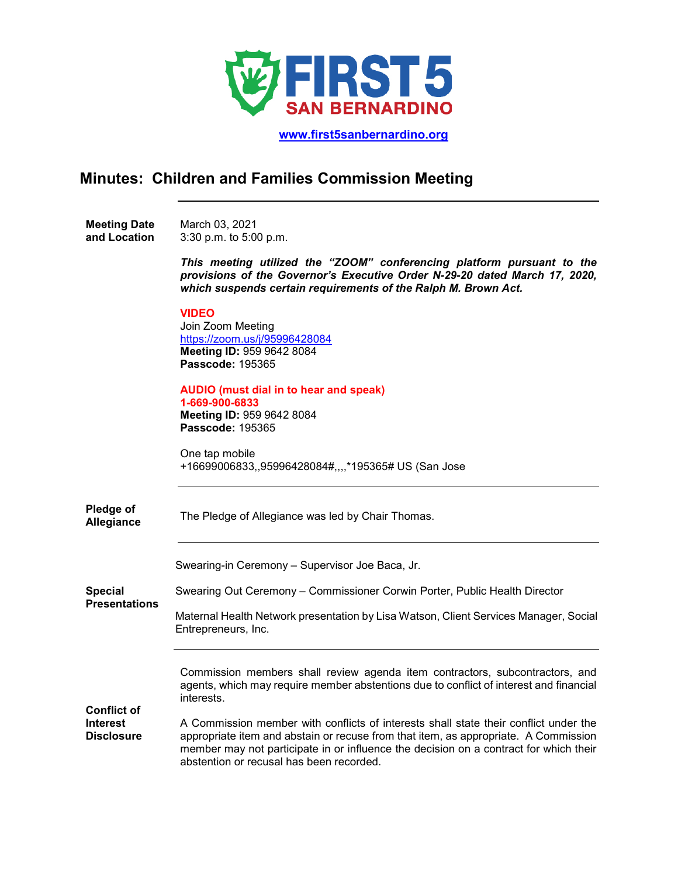

 **[www.first5sanbernardino.org](http://www.first5sanbernardino.org/)**

# **Minutes: Children and Families Commission Meeting**

**Meeting Date and Location**  March 03, 2021 3:30 p.m. to 5:00 p.m.

> *This meeting utilized the "ZOOM" conferencing platform pursuant to the provisions of the Governor's Executive Order N-29-20 dated March 17, 2020, which suspends certain requirements of the Ralph M. Brown Act.*

### **VIDEO**

Join Zoom Meeting <https://zoom.us/j/95996428084> **Meeting ID:** 959 9642 8084 **Passcode:** 195365

## **AUDIO (must dial in to hear and speak)**

**1-669-900-6833 Meeting ID:** 959 9642 8084 **Passcode:** 195365

One tap mobile +16699006833,,95996428084#,,,,\*195365# US (San Jose

| Pledge of<br>Allegiance                                    | The Pledge of Allegiance was led by Chair Thomas.                                                                                                                                                                                                                                                                |
|------------------------------------------------------------|------------------------------------------------------------------------------------------------------------------------------------------------------------------------------------------------------------------------------------------------------------------------------------------------------------------|
|                                                            | Swearing-in Ceremony - Supervisor Joe Baca, Jr.                                                                                                                                                                                                                                                                  |
| <b>Special</b>                                             | Swearing Out Ceremony – Commissioner Corwin Porter, Public Health Director                                                                                                                                                                                                                                       |
| <b>Presentations</b>                                       | Maternal Health Network presentation by Lisa Watson, Client Services Manager, Social<br>Entrepreneurs, Inc.                                                                                                                                                                                                      |
|                                                            | Commission members shall review agenda item contractors, subcontractors, and<br>agents, which may require member abstentions due to conflict of interest and financial<br>interests.                                                                                                                             |
| <b>Conflict of</b><br><b>Interest</b><br><b>Disclosure</b> | A Commission member with conflicts of interests shall state their conflict under the<br>appropriate item and abstain or recuse from that item, as appropriate. A Commission<br>member may not participate in or influence the decision on a contract for which their<br>abstention or recusal has been recorded. |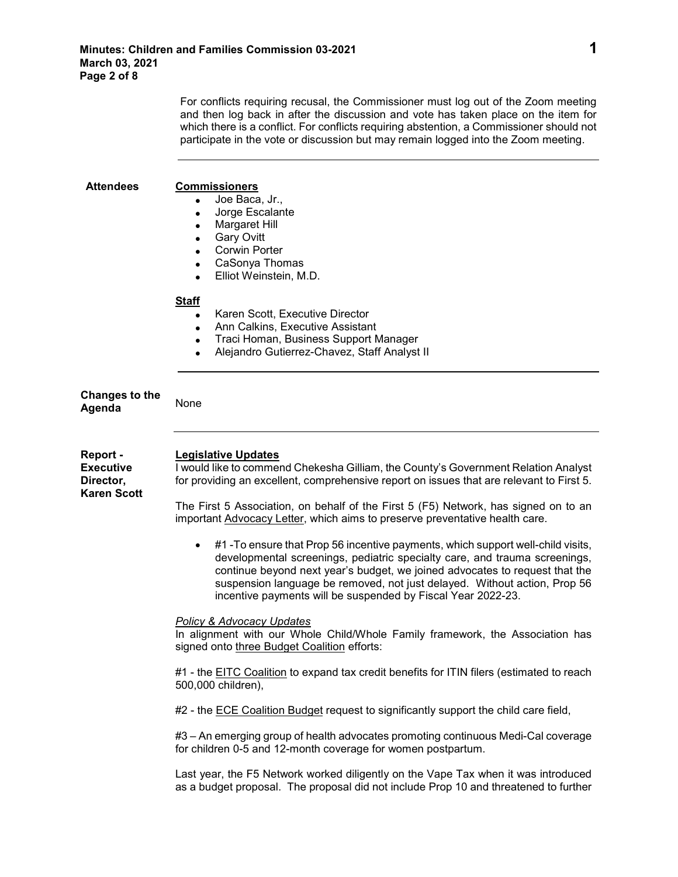For conflicts requiring recusal, the Commissioner must log out of the Zoom meeting and then log back in after the discussion and vote has taken place on the item for which there is a conflict. For conflicts requiring abstention, a Commissioner should not participate in the vote or discussion but may remain logged into the Zoom meeting.

| <b>Attendees</b>                                                | <b>Commissioners</b><br>Joe Baca, Jr.,<br>Jorge Escalante<br>$\bullet$<br><b>Margaret Hill</b><br><b>Gary Ovitt</b><br><b>Corwin Porter</b><br>CaSonya Thomas<br>$\bullet$<br>Elliot Weinstein, M.D.<br>$\bullet$                                                                                                                                                                                      |
|-----------------------------------------------------------------|--------------------------------------------------------------------------------------------------------------------------------------------------------------------------------------------------------------------------------------------------------------------------------------------------------------------------------------------------------------------------------------------------------|
|                                                                 | <b>Staff</b><br>Karen Scott, Executive Director<br>$\bullet$<br>Ann Calkins, Executive Assistant<br>$\bullet$<br>Traci Homan, Business Support Manager<br>$\bullet$<br>Alejandro Gutierrez-Chavez, Staff Analyst II<br>$\bullet$                                                                                                                                                                       |
| Changes to the<br>Agenda                                        | None                                                                                                                                                                                                                                                                                                                                                                                                   |
| Report -<br><b>Executive</b><br>Director,<br><b>Karen Scott</b> | <b>Legislative Updates</b><br>I would like to commend Chekesha Gilliam, the County's Government Relation Analyst<br>for providing an excellent, comprehensive report on issues that are relevant to First 5.<br>The First 5 Association, on behalf of the First 5 (F5) Network, has signed on to an<br>important <b>Advocacy Letter</b> , which aims to preserve preventative health care.             |
|                                                                 | #1 -To ensure that Prop 56 incentive payments, which support well-child visits,<br>$\bullet$<br>developmental screenings, pediatric specialty care, and trauma screenings,<br>continue beyond next year's budget, we joined advocates to request that the<br>suspension language be removed, not just delayed. Without action, Prop 56<br>incentive payments will be suspended by Fiscal Year 2022-23. |
|                                                                 | <b>Policy &amp; Advocacy Updates</b><br>In alignment with our Whole Child/Whole Family framework, the Association has<br>signed onto three Budget Coalition efforts:                                                                                                                                                                                                                                   |
|                                                                 | #1 - the EITC Coalition to expand tax credit benefits for ITIN filers (estimated to reach<br>500,000 children),                                                                                                                                                                                                                                                                                        |
|                                                                 | #2 - the ECE Coalition Budget request to significantly support the child care field,                                                                                                                                                                                                                                                                                                                   |
|                                                                 | #3 – An emerging group of health advocates promoting continuous Medi-Cal coverage<br>for children 0-5 and 12-month coverage for women postpartum.                                                                                                                                                                                                                                                      |
|                                                                 | Last year, the F5 Network worked diligently on the Vape Tax when it was introduced<br>as a budget proposal. The proposal did not include Prop 10 and threatened to further                                                                                                                                                                                                                             |
|                                                                 |                                                                                                                                                                                                                                                                                                                                                                                                        |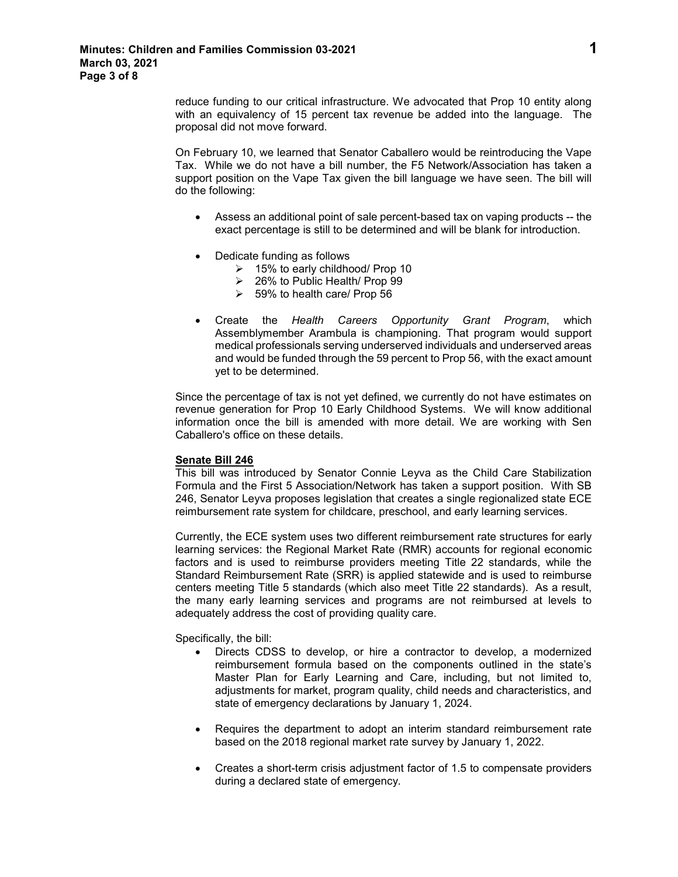reduce funding to our critical infrastructure. We advocated that Prop 10 entity along with an equivalency of 15 percent tax revenue be added into the language. The proposal did not move forward.

On February 10, we learned that Senator Caballero would be reintroducing the Vape Tax. While we do not have a bill number, the F5 Network/Association has taken a support position on the Vape Tax given the bill language we have seen. The bill will do the following:

- Assess an additional point of sale percent-based tax on vaping products -- the exact percentage is still to be determined and will be blank for introduction.
- Dedicate funding as follows
	- 15% to early childhood/ Prop 10
	- 26% to Public Health/ Prop 99
	- $\geq$  59% to health care/ Prop 56
- Create the *Health Careers Opportunity Grant Program*, which Assemblymember Arambula is championing. That program would support medical professionals serving underserved individuals and underserved areas and would be funded through the 59 percent to Prop 56, with the exact amount yet to be determined.

Since the percentage of tax is not yet defined, we currently do not have estimates on revenue generation for Prop 10 Early Childhood Systems. We will know additional information once the bill is amended with more detail. We are working with Sen Caballero's office on these details.

### **Senate Bill 246**

This bill was introduced by Senator Connie Leyva as the Child Care Stabilization Formula and the First 5 Association/Network has taken a support position. With SB 246, Senator Leyva proposes legislation that creates a single regionalized state ECE reimbursement rate system for childcare, preschool, and early learning services.

Currently, the ECE system uses two different reimbursement rate structures for early learning services: the Regional Market Rate (RMR) accounts for regional economic factors and is used to reimburse providers meeting Title 22 standards, while the Standard Reimbursement Rate (SRR) is applied statewide and is used to reimburse centers meeting Title 5 standards (which also meet Title 22 standards). As a result, the many early learning services and programs are not reimbursed at levels to adequately address the cost of providing quality care.

Specifically, the bill:

- Directs CDSS to develop, or hire a contractor to develop, a modernized reimbursement formula based on the components outlined in the state's Master Plan for Early Learning and Care, including, but not limited to, adjustments for market, program quality, child needs and characteristics, and state of emergency declarations by January 1, 2024.
- Requires the department to adopt an interim standard reimbursement rate based on the 2018 regional market rate survey by January 1, 2022.
- Creates a short-term crisis adjustment factor of 1.5 to compensate providers during a declared state of emergency.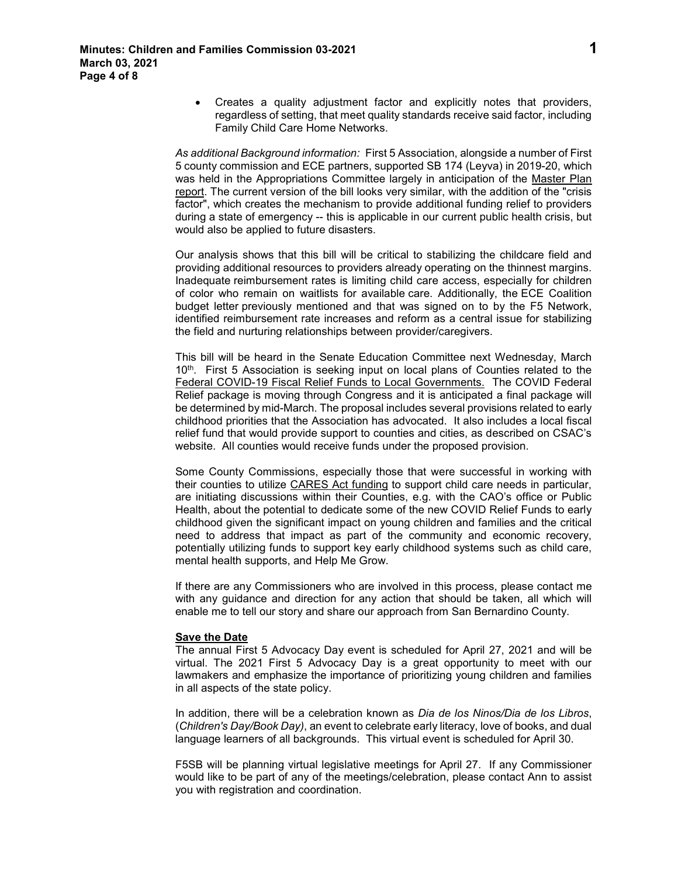• Creates a quality adjustment factor and explicitly notes that providers, regardless of setting, that meet quality standards receive said factor, including Family Child Care Home Networks.

*As additional Background information:* First 5 Association, alongside a number of First 5 county commission and ECE partners, supported SB 174 (Leyva) in 2019-20, which was held in the Appropriations Committee largely in anticipation of the Master Plan report. The current version of the bill looks very similar, with the addition of the "crisis factor", which creates the mechanism to provide additional funding relief to providers during a state of emergency -- this is applicable in our current public health crisis, but would also be applied to future disasters.

Our analysis shows that this bill will be critical to stabilizing the childcare field and providing additional resources to providers already operating on the thinnest margins. Inadequate reimbursement rates is limiting child care access, especially for children of color who remain on waitlists for available care. Additionally, the [ECE Coalition](https://app.box.com/s/bt8bs77znbvgkkdz6eldcmk9kk17bhzg)  [budget letter](https://app.box.com/s/bt8bs77znbvgkkdz6eldcmk9kk17bhzg) previously mentioned and that was signed on to by the F5 Network, identified reimbursement rate increases and reform as a central issue for stabilizing the field and nurturing relationships between provider/caregivers.

This bill will be heard in the Senate Education Committee next Wednesday, March 10<sup>th</sup>. First 5 Association is seeking input on local plans of Counties related to the Federal COVID-19 Fiscal Relief Funds to Local Governments. The COVID Federal Relief package is moving through Congress and it is anticipated a final package will be determined by mid-March. The proposal includes several provisions related to early childhood priorities that the Association has advocated. It also includes a local fiscal relief fund that would provide support to counties and cities, as described on CSAC's website. All counties would receive funds under the proposed provision.

Some County Commissions, especially those that were successful in working with their counties to utilize CARES Act funding to support child care needs in particular, are initiating discussions within their Counties, e.g. with the CAO's office or Public Health, about the potential to dedicate some of the new COVID Relief Funds to early childhood given the significant impact on young children and families and the critical need to address that impact as part of the community and economic recovery, potentially utilizing funds to support key early childhood systems such as child care, mental health supports, and Help Me Grow.

If there are any Commissioners who are involved in this process, please contact me with any guidance and direction for any action that should be taken, all which will enable me to tell our story and share our approach from San Bernardino County.

### **Save the Date**

The annual First 5 Advocacy Day event is scheduled for April 27, 2021 and will be virtual. The 2021 First 5 Advocacy Day is a great opportunity to meet with our lawmakers and emphasize the importance of prioritizing young children and families in all aspects of the state policy.

In addition, there will be a celebration known as *Dia de los Ninos/Dia de los Libros*, (*Children's Day/Book Day)*, an event to celebrate early literacy, love of books, and dual language learners of all backgrounds. This virtual event is scheduled for April 30.

F5SB will be planning virtual legislative meetings for April 27. If any Commissioner would like to be part of any of the meetings/celebration, please contact Ann to assist you with registration and coordination.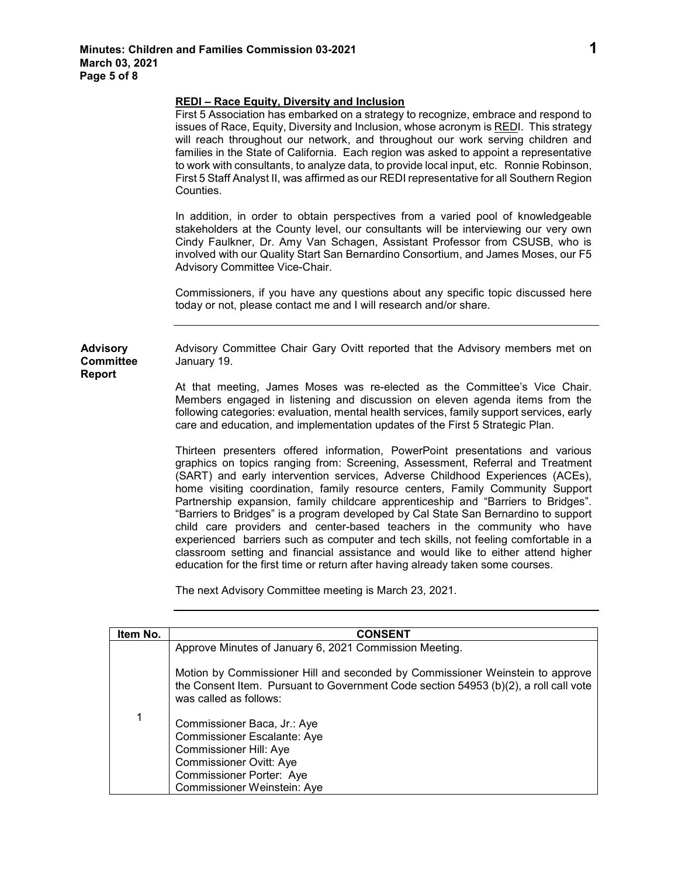|                                               | <b>REDI-Race Equity, Diversity and Inclusion</b><br>First 5 Association has embarked on a strategy to recognize, embrace and respond to<br>issues of Race, Equity, Diversity and Inclusion, whose acronym is REDI. This strategy<br>will reach throughout our network, and throughout our work serving children and<br>families in the State of California. Each region was asked to appoint a representative<br>to work with consultants, to analyze data, to provide local input, etc. Ronnie Robinson,<br>First 5 Staff Analyst II, was affirmed as our REDI representative for all Southern Region<br>Counties.                                                                                                                                                                                                                                      |
|-----------------------------------------------|----------------------------------------------------------------------------------------------------------------------------------------------------------------------------------------------------------------------------------------------------------------------------------------------------------------------------------------------------------------------------------------------------------------------------------------------------------------------------------------------------------------------------------------------------------------------------------------------------------------------------------------------------------------------------------------------------------------------------------------------------------------------------------------------------------------------------------------------------------|
|                                               | In addition, in order to obtain perspectives from a varied pool of knowledgeable<br>stakeholders at the County level, our consultants will be interviewing our very own<br>Cindy Faulkner, Dr. Amy Van Schagen, Assistant Professor from CSUSB, who is<br>involved with our Quality Start San Bernardino Consortium, and James Moses, our F5<br>Advisory Committee Vice-Chair.                                                                                                                                                                                                                                                                                                                                                                                                                                                                           |
|                                               | Commissioners, if you have any questions about any specific topic discussed here<br>today or not, please contact me and I will research and/or share.                                                                                                                                                                                                                                                                                                                                                                                                                                                                                                                                                                                                                                                                                                    |
| <b>Advisory</b><br><b>Committee</b><br>Report | Advisory Committee Chair Gary Ovitt reported that the Advisory members met on<br>January 19.                                                                                                                                                                                                                                                                                                                                                                                                                                                                                                                                                                                                                                                                                                                                                             |
|                                               | At that meeting, James Moses was re-elected as the Committee's Vice Chair.<br>Members engaged in listening and discussion on eleven agenda items from the<br>following categories: evaluation, mental health services, family support services, early<br>care and education, and implementation updates of the First 5 Strategic Plan.                                                                                                                                                                                                                                                                                                                                                                                                                                                                                                                   |
|                                               | Thirteen presenters offered information, PowerPoint presentations and various<br>graphics on topics ranging from: Screening, Assessment, Referral and Treatment<br>(SART) and early intervention services, Adverse Childhood Experiences (ACEs),<br>home visiting coordination, family resource centers, Family Community Support<br>Partnership expansion, family childcare apprenticeship and "Barriers to Bridges".<br>"Barriers to Bridges" is a program developed by Cal State San Bernardino to support<br>child care providers and center-based teachers in the community who have<br>experienced barriers such as computer and tech skills, not feeling comfortable in a<br>classroom setting and financial assistance and would like to either attend higher<br>education for the first time or return after having already taken some courses. |
|                                               |                                                                                                                                                                                                                                                                                                                                                                                                                                                                                                                                                                                                                                                                                                                                                                                                                                                          |

The next Advisory Committee meeting is March 23, 2021.

| Item No. | <b>CONSENT</b>                                                                                                                                                                                  |
|----------|-------------------------------------------------------------------------------------------------------------------------------------------------------------------------------------------------|
|          | Approve Minutes of January 6, 2021 Commission Meeting.                                                                                                                                          |
|          | Motion by Commissioner Hill and seconded by Commissioner Weinstein to approve<br>the Consent Item. Pursuant to Government Code section 54953 (b)(2), a roll call vote<br>was called as follows: |
| 1        | Commissioner Baca, Jr.: Aye<br><b>Commissioner Escalante: Aye</b><br>Commissioner Hill: Aye<br><b>Commissioner Ovitt: Aye</b><br>Commissioner Porter: Aye<br>Commissioner Weinstein: Aye        |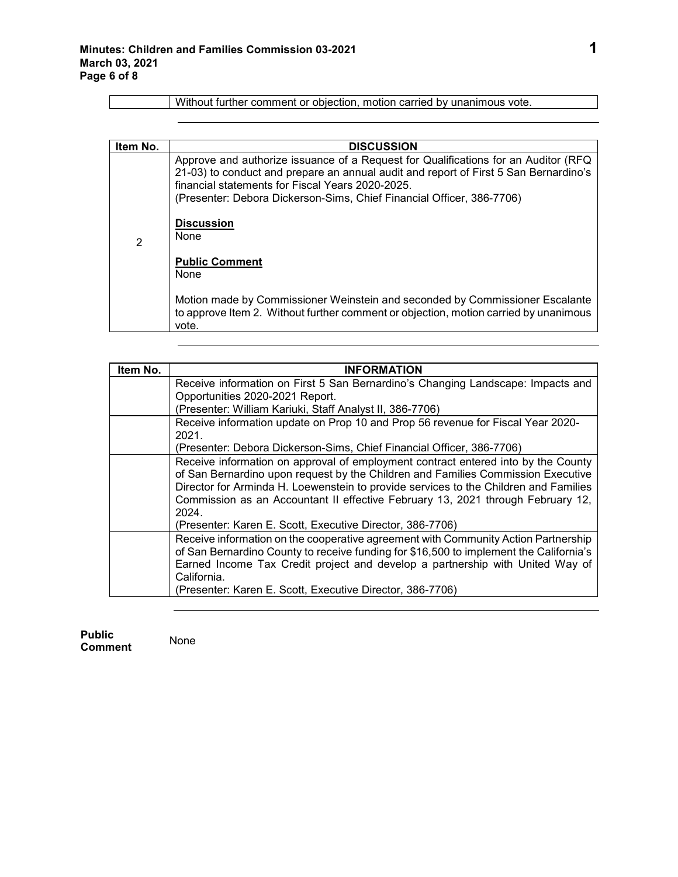| Item No.       | <b>DISCUSSION</b>                                                                                                                                                                                                                                                                                       |
|----------------|---------------------------------------------------------------------------------------------------------------------------------------------------------------------------------------------------------------------------------------------------------------------------------------------------------|
| $\overline{2}$ | Approve and authorize issuance of a Request for Qualifications for an Auditor (RFQ<br>21-03) to conduct and prepare an annual audit and report of First 5 San Bernardino's<br>financial statements for Fiscal Years 2020-2025.<br>(Presenter: Debora Dickerson-Sims, Chief Financial Officer, 386-7706) |
|                | <b>Discussion</b><br>None                                                                                                                                                                                                                                                                               |
|                | <b>Public Comment</b><br>None                                                                                                                                                                                                                                                                           |
|                | Motion made by Commissioner Weinstein and seconded by Commissioner Escalante<br>to approve Item 2. Without further comment or objection, motion carried by unanimous<br>vote.                                                                                                                           |

Without further comment or objection, motion carried by unanimous vote.

| Item No. | <b>INFORMATION</b>                                                                     |
|----------|----------------------------------------------------------------------------------------|
|          | Receive information on First 5 San Bernardino's Changing Landscape: Impacts and        |
|          | Opportunities 2020-2021 Report.                                                        |
|          | (Presenter: William Kariuki, Staff Analyst II, 386-7706)                               |
|          | Receive information update on Prop 10 and Prop 56 revenue for Fiscal Year 2020-        |
|          | 2021.                                                                                  |
|          | (Presenter: Debora Dickerson-Sims, Chief Financial Officer, 386-7706)                  |
|          | Receive information on approval of employment contract entered into by the County      |
|          | of San Bernardino upon request by the Children and Families Commission Executive       |
|          | Director for Arminda H. Loewenstein to provide services to the Children and Families   |
|          | Commission as an Accountant II effective February 13, 2021 through February 12,        |
|          | 2024.                                                                                  |
|          | (Presenter: Karen E. Scott, Executive Director, 386-7706)                              |
|          | Receive information on the cooperative agreement with Community Action Partnership     |
|          | of San Bernardino County to receive funding for \$16,500 to implement the California's |
|          | Earned Income Tax Credit project and develop a partnership with United Way of          |
|          | California.                                                                            |
|          | (Presenter: Karen E. Scott, Executive Director, 386-7706)                              |

**Public Comment** None